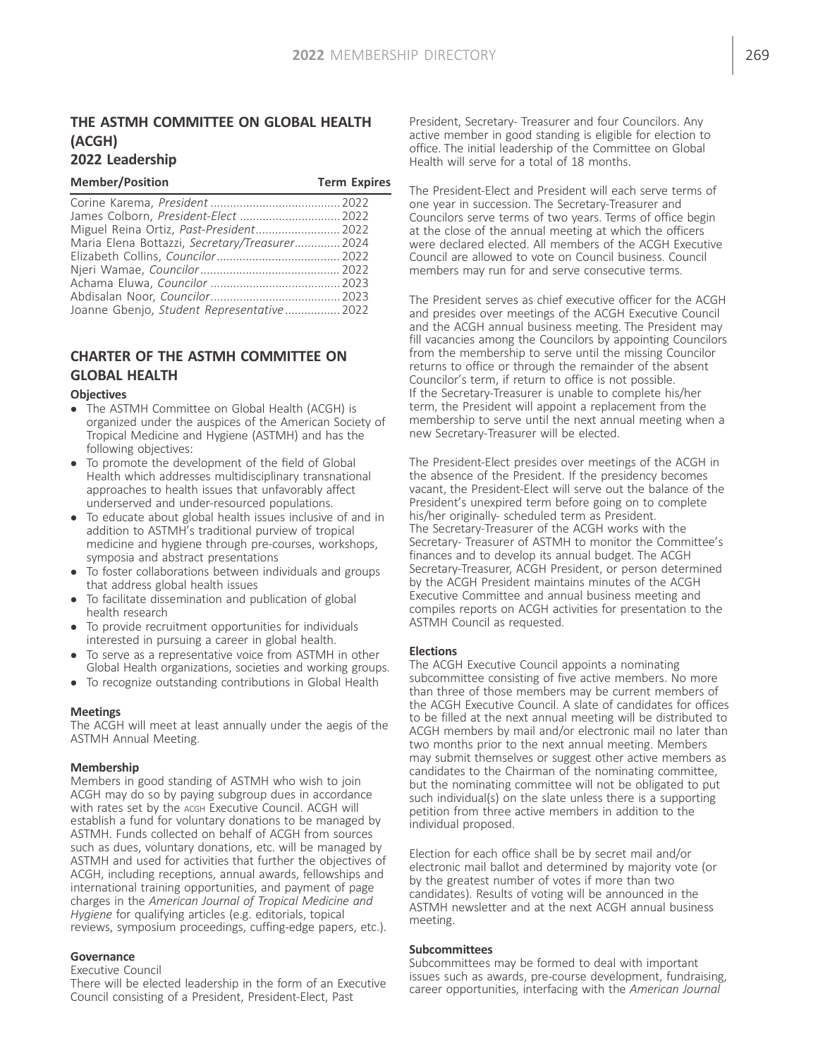## THE ASTMH COMMITTEE ON GLOBAL HEALTH (ACGH) 2022 Leadership

| <b>Member/Position</b>                         | <b>Term Expires</b> |
|------------------------------------------------|---------------------|
|                                                |                     |
| James Colborn, President-Elect  2022           |                     |
|                                                |                     |
| Maria Elena Bottazzi, Secretary/Treasurer 2024 |                     |
|                                                |                     |
|                                                |                     |
|                                                |                     |
|                                                |                     |
| Joanne Gbenjo, Student Representative 2022     |                     |

# CHARTER OF THE ASTMH COMMITTEE ON GLOBAL HEALTH

#### **Objectives**

- The ASTMH Committee on Global Health (ACGH) is organized under the auspices of the American Society of Tropical Medicine and Hygiene (ASTMH) and has the following objectives:
- To promote the development of the field of Global Health which addresses multidisciplinary transnational approaches to health issues that unfavorably affect underserved and under-resourced populations.
- To educate about global health issues inclusive of and in addition to ASTMH's traditional purview of tropical medicine and hygiene through pre-courses, workshops, symposia and abstract presentations
- To foster collaborations between individuals and groups that address global health issues
- To facilitate dissemination and publication of global health research
- To provide recruitment opportunities for individuals interested in pursuing a career in global health.
- To serve as a representative voice from ASTMH in other Global Health organizations, societies and working groups.
- To recognize outstanding contributions in Global Health

#### Meetings

The ACGH will meet at least annually under the aegis of the ASTMH Annual Meeting.

#### Membership

Members in good standing of ASTMH who wish to join ACGH may do so by paying subgroup dues in accordance with rates set by the ACGH Executive Council. ACGH will establish a fund for voluntary donations to be managed by ASTMH. Funds collected on behalf of ACGH from sources such as dues, voluntary donations, etc. will be managed by ASTMH and used for activities that further the objectives of ACGH, including receptions, annual awards, fellowships and international training opportunities, and payment of page charges in the American Journal of Tropical Medicine and Hygiene for qualifying articles (e.g. editorials, topical reviews, symposium proceedings, cuffing-edge papers, etc.).

#### **Governance**

Executive Council

There will be elected leadership in the form of an Executive Council consisting of a President, President-Elect, Past

President, Secretary- Treasurer and four Councilors. Any active member in good standing is eligible for election to office. The initial leadership of the Committee on Global Health will serve for a total of 18 months.

The President-Elect and President will each serve terms of one year in succession. The Secretary-Treasurer and Councilors serve terms of two years. Terms of office begin at the close of the annual meeting at which the officers were declared elected. All members of the ACGH Executive Council are allowed to vote on Council business. Council members may run for and serve consecutive terms.

The President serves as chief executive officer for the ACGH and presides over meetings of the ACGH Executive Council and the ACGH annual business meeting. The President may fill vacancies among the Councilors by appointing Councilors from the membership to serve until the missing Councilor returns to office or through the remainder of the absent Councilor's term, if return to office is not possible. If the Secretary-Treasurer is unable to complete his/her term, the President will appoint a replacement from the membership to serve until the next annual meeting when a new Secretary-Treasurer will be elected.

The President-Elect presides over meetings of the ACGH in the absence of the President. If the presidency becomes vacant, the President-Elect will serve out the balance of the President's unexpired term before going on to complete his/her originally- scheduled term as President. The Secretary-Treasurer of the ACGH works with the Secretary- Treasurer of ASTMH to monitor the Committee's finances and to develop its annual budget. The ACGH Secretary-Treasurer, ACGH President, or person determined by the ACGH President maintains minutes of the ACGH Executive Committee and annual business meeting and compiles reports on ACGH activities for presentation to the ASTMH Council as requested.

### **Elections**

The ACGH Executive Council appoints a nominating subcommittee consisting of five active members. No more than three of those members may be current members of the ACGH Executive Council. A slate of candidates for offices to be filled at the next annual meeting will be distributed to ACGH members by mail and/or electronic mail no later than two months prior to the next annual meeting. Members may submit themselves or suggest other active members as candidates to the Chairman of the nominating committee, but the nominating committee will not be obligated to put such individual(s) on the slate unless there is a supporting petition from three active members in addition to the individual proposed.

Election for each office shall be by secret mail and/or electronic mail ballot and determined by majority vote (or by the greatest number of votes if more than two candidates). Results of voting will be announced in the ASTMH newsletter and at the next ACGH annual business meeting.

#### Subcommittees

Subcommittees may be formed to deal with important issues such as awards, pre-course development, fundraising, career opportunities, interfacing with the American Journal